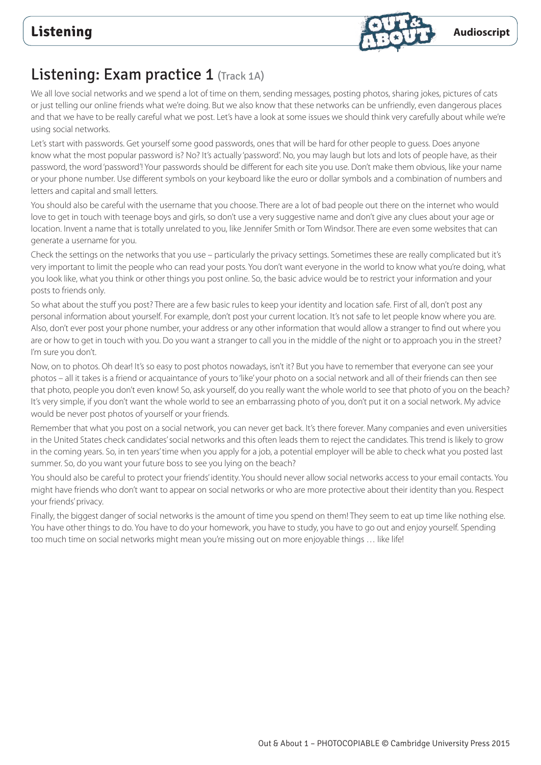

# Listening: Exam practice 1 (Track 1A)

We all love social networks and we spend a lot of time on them, sending messages, posting photos, sharing jokes, pictures of cats or just telling our online friends what we're doing. But we also know that these networks can be unfriendly, even dangerous places and that we have to be really careful what we post. Let's have a look at some issues we should think very carefully about while we're using social networks.

Let's start with passwords. Get yourself some good passwords, ones that will be hard for other people to guess. Does anyone know what the most popular password is? No? It's actually 'password'. No, you may laugh but lots and lots of people have, as their password, the word 'password'! Your passwords should be different for each site you use. Don't make them obvious, like your name or your phone number. Use different symbols on your keyboard like the euro or dollar symbols and a combination of numbers and letters and capital and small letters.

You should also be careful with the username that you choose. There are a lot of bad people out there on the internet who would love to get in touch with teenage boys and girls, so don't use a very suggestive name and don't give any clues about your age or location. Invent a name that is totally unrelated to you, like Jennifer Smith or Tom Windsor. There are even some websites that can generate a username for you.

Check the settings on the networks that you use – particularly the privacy settings. Sometimes these are really complicated but it's very important to limit the people who can read your posts. You don't want everyone in the world to know what you're doing, what you look like, what you think or other things you post online. So, the basic advice would be to restrict your information and your posts to friends only.

So what about the stuff you post? There are a few basic rules to keep your identity and location safe. First of all, don't post any personal information about yourself. For example, don't post your current location. It's not safe to let people know where you are. Also, don't ever post your phone number, your address or any other information that would allow a stranger to find out where you are or how to get in touch with you. Do you want a stranger to call you in the middle of the night or to approach you in the street? I'm sure you don't.

Now, on to photos. Oh dear! It's so easy to post photos nowadays, isn't it? But you have to remember that everyone can see your photos – all it takes is a friend or acquaintance of yours to 'like' your photo on a social network and all of their friends can then see that photo, people you don't even know! So, ask yourself, do you really want the whole world to see that photo of you on the beach? It's very simple, if you don't want the whole world to see an embarrassing photo of you, don't put it on a social network. My advice would be never post photos of yourself or your friends.

Remember that what you post on a social network, you can never get back. It's there forever. Many companies and even universities in the United States check candidates' social networks and this often leads them to reject the candidates. This trend is likely to grow in the coming years. So, in ten years' time when you apply for a job, a potential employer will be able to check what you posted last summer. So, do you want your future boss to see you lying on the beach?

You should also be careful to protect your friends' identity. You should never allow social networks access to your email contacts. You might have friends who don't want to appear on social networks or who are more protective about their identity than you. Respect your friends' privacy.

Finally, the biggest danger of social networks is the amount of time you spend on them! They seem to eat up time like nothing else. You have other things to do. You have to do your homework, you have to study, you have to go out and enjoy yourself. Spending too much time on social networks might mean you're missing out on more enjoyable things ... like life!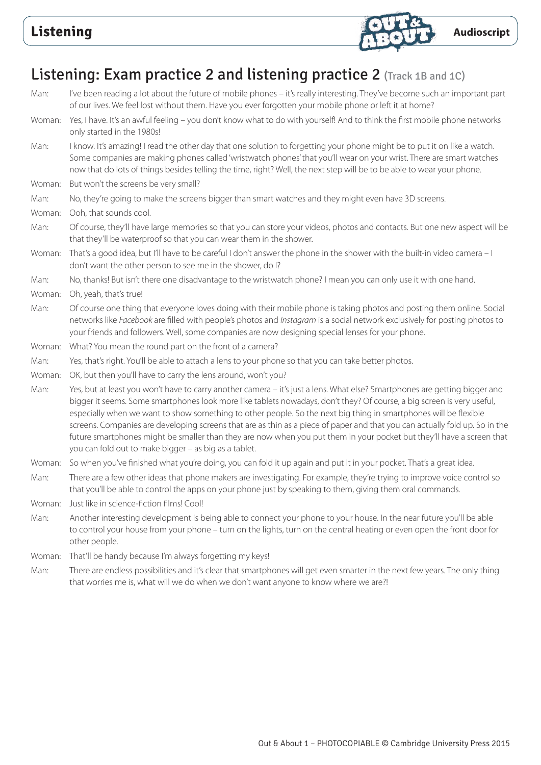

# Listening: Exam practice 2 and listening practice 2 (Track 1B and 1C)

- Man: I've been reading a lot about the future of mobile phones it's really interesting. They've become such an important part of our lives. We feel lost without them. Have you ever forgotten your mobile phone or left it at home? Woman: Yes, I have. It's an awful feeling – you don't know what to do with yourself! And to think the first mobile phone networks only started in the 1980s! Man: I know. It's amazing! I read the other day that one solution to forgetting your phone might be to put it on like a watch. Some companies are making phones called 'wristwatch phones' that you'll wear on your wrist. There are smart watches now that do lots of things besides telling the time, right? Well, the next step will be to be able to wear your phone. Woman: But won't the screens be very small? Man: No, they're going to make the screens bigger than smart watches and they might even have 3D screens. Woman: Ooh, that sounds cool. Man: Of course, they'll have large memories so that you can store your videos, photos and contacts. But one new aspect will be that they'll be waterproof so that you can wear them in the shower. Woman: That's a good idea, but I'll have to be careful I don't answer the phone in the shower with the built-in video camera – I don't want the other person to see me in the shower, do I? Man: No, thanks! But isn't there one disadvantage to the wristwatch phone? I mean you can only use it with one hand. Woman: Oh, yeah, that's true! Man: Of course one thing that everyone loves doing with their mobile phone is taking photos and posting them online. Social networks like *Facebook* are filled with people's photos and *Instagram* is a social network exclusively for posting photos to your friends and followers. Well, some companies are now designing special lenses for your phone.
- Woman: What? You mean the round part on the front of a camera?
- Man: Yes, that's right. You'll be able to attach a lens to your phone so that you can take better photos.
- Woman: OK, but then you'll have to carry the lens around, won't you?
- Man: Yes, but at least you won't have to carry another camera it's just a lens. What else? Smartphones are getting bigger and bigger it seems. Some smartphones look more like tablets nowadays, don't they? Of course, a big screen is very useful, especially when we want to show something to other people. So the next big thing in smartphones will be flexible screens. Companies are developing screens that are as thin as a piece of paper and that you can actually fold up. So in the future smartphones might be smaller than they are now when you put them in your pocket but they'll have a screen that you can fold out to make bigger – as big as a tablet.
- Woman: So when you've finished what you're doing, you can fold it up again and put it in your pocket. That's a great idea.
- Man: There are a few other ideas that phone makers are investigating. For example, they're trying to improve voice control so that you'll be able to control the apps on your phone just by speaking to them, giving them oral commands.
- Woman: Just like in science-fiction films! Cool!
- Man: Another interesting development is being able to connect your phone to your house. In the near future you'll be able to control your house from your phone – turn on the lights, turn on the central heating or even open the front door for other people.
- Woman: That'll be handy because I'm always forgetting my keys!
- Man: There are endless possibilities and it's clear that smartphones will get even smarter in the next few years. The only thing that worries me is, what will we do when we don't want anyone to know where we are?!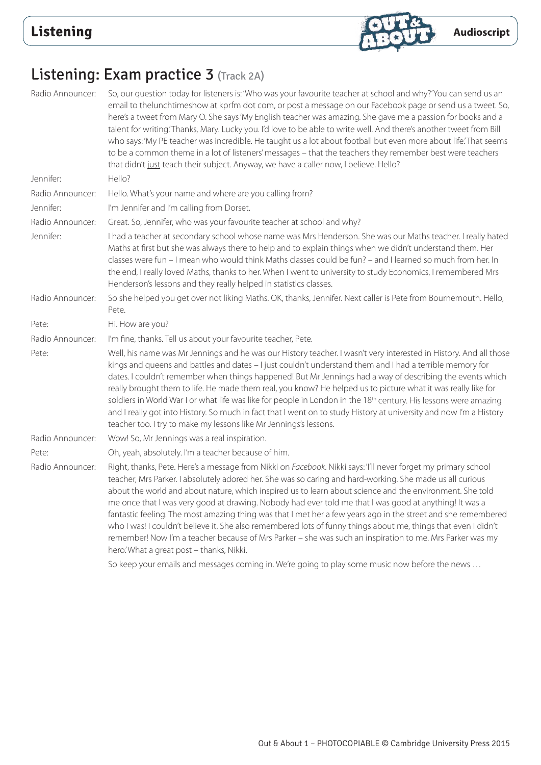

# Listening: Exam practice 3 (Track 2A)

| Radio Announcer: | So, our question today for listeners is: 'Who was your favourite teacher at school and why?'You can send us an<br>email to thelunchtimeshow at kprfm dot com, or post a message on our Facebook page or send us a tweet. So,<br>here's a tweet from Mary O. She says 'My English teacher was amazing. She gave me a passion for books and a<br>talent for writing. Thanks, Mary. Lucky you. I'd love to be able to write well. And there's another tweet from Bill<br>who says: 'My PE teacher was incredible. He taught us a lot about football but even more about life. That seems<br>to be a common theme in a lot of listeners' messages - that the teachers they remember best were teachers<br>that didn't just teach their subject. Anyway, we have a caller now, I believe. Hello?                                                                                                                                                    |
|------------------|------------------------------------------------------------------------------------------------------------------------------------------------------------------------------------------------------------------------------------------------------------------------------------------------------------------------------------------------------------------------------------------------------------------------------------------------------------------------------------------------------------------------------------------------------------------------------------------------------------------------------------------------------------------------------------------------------------------------------------------------------------------------------------------------------------------------------------------------------------------------------------------------------------------------------------------------|
| Jennifer:        | Hello?                                                                                                                                                                                                                                                                                                                                                                                                                                                                                                                                                                                                                                                                                                                                                                                                                                                                                                                                         |
| Radio Announcer: | Hello. What's your name and where are you calling from?                                                                                                                                                                                                                                                                                                                                                                                                                                                                                                                                                                                                                                                                                                                                                                                                                                                                                        |
| Jennifer:        | I'm Jennifer and I'm calling from Dorset.                                                                                                                                                                                                                                                                                                                                                                                                                                                                                                                                                                                                                                                                                                                                                                                                                                                                                                      |
| Radio Announcer: | Great. So, Jennifer, who was your favourite teacher at school and why?                                                                                                                                                                                                                                                                                                                                                                                                                                                                                                                                                                                                                                                                                                                                                                                                                                                                         |
| Jennifer:        | I had a teacher at secondary school whose name was Mrs Henderson. She was our Maths teacher. I really hated<br>Maths at first but she was always there to help and to explain things when we didn't understand them. Her<br>classes were fun - I mean who would think Maths classes could be fun? - and I learned so much from her. In<br>the end, I really loved Maths, thanks to her. When I went to university to study Economics, I remembered Mrs<br>Henderson's lessons and they really helped in statistics classes.                                                                                                                                                                                                                                                                                                                                                                                                                    |
| Radio Announcer: | So she helped you get over not liking Maths. OK, thanks, Jennifer. Next caller is Pete from Bournemouth. Hello,<br>Pete.                                                                                                                                                                                                                                                                                                                                                                                                                                                                                                                                                                                                                                                                                                                                                                                                                       |
| Pete:            | Hi. How are you?                                                                                                                                                                                                                                                                                                                                                                                                                                                                                                                                                                                                                                                                                                                                                                                                                                                                                                                               |
| Radio Announcer: | I'm fine, thanks. Tell us about your favourite teacher, Pete.                                                                                                                                                                                                                                                                                                                                                                                                                                                                                                                                                                                                                                                                                                                                                                                                                                                                                  |
| Pete:            | Well, his name was Mr Jennings and he was our History teacher. I wasn't very interested in History. And all those<br>kings and queens and battles and dates - I just couldn't understand them and I had a terrible memory for<br>dates. I couldn't remember when things happened! But Mr Jennings had a way of describing the events which<br>really brought them to life. He made them real, you know? He helped us to picture what it was really like for<br>soldiers in World War I or what life was like for people in London in the 18th century. His lessons were amazing<br>and I really got into History. So much in fact that I went on to study History at university and now I'm a History<br>teacher too. I try to make my lessons like Mr Jennings's lessons.                                                                                                                                                                     |
| Radio Announcer: | Wow! So, Mr Jennings was a real inspiration.                                                                                                                                                                                                                                                                                                                                                                                                                                                                                                                                                                                                                                                                                                                                                                                                                                                                                                   |
| Pete:            | Oh, yeah, absolutely. I'm a teacher because of him.                                                                                                                                                                                                                                                                                                                                                                                                                                                                                                                                                                                                                                                                                                                                                                                                                                                                                            |
| Radio Announcer: | Right, thanks, Pete. Here's a message from Nikki on Facebook. Nikki says: 'I'll never forget my primary school<br>teacher, Mrs Parker. I absolutely adored her. She was so caring and hard-working. She made us all curious<br>about the world and about nature, which inspired us to learn about science and the environment. She told<br>me once that I was very good at drawing. Nobody had ever told me that I was good at anything! It was a<br>fantastic feeling. The most amazing thing was that I met her a few years ago in the street and she remembered<br>who I was! I couldn't believe it. She also remembered lots of funny things about me, things that even I didn't<br>remember! Now I'm a teacher because of Mrs Parker - she was such an inspiration to me. Mrs Parker was my<br>hero.'What a great post - thanks, Nikki.<br>So keep your emails and messages coming in. We're going to play some music now before the news |
|                  |                                                                                                                                                                                                                                                                                                                                                                                                                                                                                                                                                                                                                                                                                                                                                                                                                                                                                                                                                |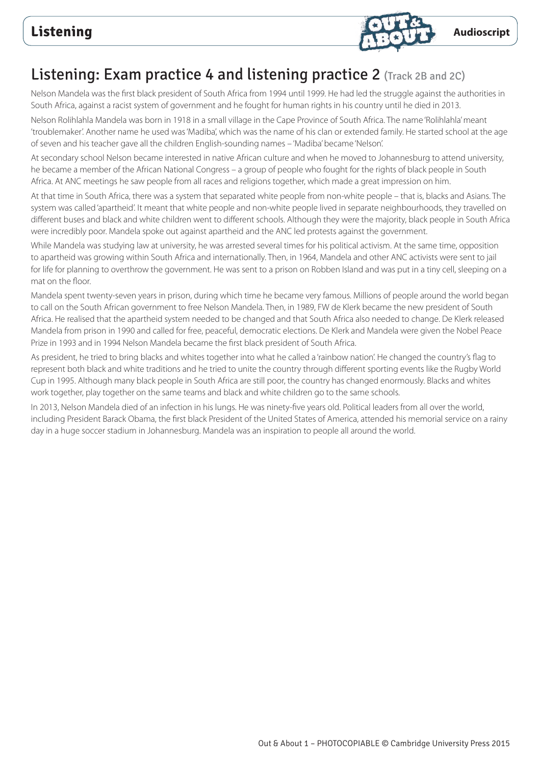

## Listening: Exam practice 4 and listening practice 2 (Track 2B and 2C)

Nelson Mandela was the first black president of South Africa from 1994 until 1999. He had led the struggle against the authorities in South Africa, against a racist system of government and he fought for human rights in his country until he died in 2013.

Nelson Rolihlahla Mandela was born in 1918 in a small village in the Cape Province of South Africa. The name 'Rolihlahla' meant 'troublemaker'. Another name he used was 'Madiba', which was the name of his clan or extended family. He started school at the age of seven and his teacher gave all the children English-sounding names – 'Madiba' became 'Nelson'.

At secondary school Nelson became interested in native African culture and when he moved to Johannesburg to attend university, he became a member of the African National Congress – a group of people who fought for the rights of black people in South Africa. At ANC meetings he saw people from all races and religions together, which made a great impression on him.

At that time in South Africa, there was a system that separated white people from non-white people – that is, blacks and Asians. The system was called 'apartheid'. It meant that white people and non-white people lived in separate neighbourhoods, they travelled on different buses and black and white children went to different schools. Although they were the majority, black people in South Africa were incredibly poor. Mandela spoke out against apartheid and the ANC led protests against the government.

While Mandela was studying law at university, he was arrested several times for his political activism. At the same time, opposition to apartheid was growing within South Africa and internationally. Then, in 1964, Mandela and other ANC activists were sent to jail for life for planning to overthrow the government. He was sent to a prison on Robben Island and was put in a tiny cell, sleeping on a mat on the floor.

Mandela spent twenty-seven years in prison, during which time he became very famous. Millions of people around the world began to call on the South African government to free Nelson Mandela. Then, in 1989, FW de Klerk became the new president of South Africa. He realised that the apartheid system needed to be changed and that South Africa also needed to change. De Klerk released Mandela from prison in 1990 and called for free, peaceful, democratic elections. De Klerk and Mandela were given the Nobel Peace Prize in 1993 and in 1994 Nelson Mandela became the first black president of South Africa.

As president, he tried to bring blacks and whites together into what he called a 'rainbow nation'. He changed the country's flag to represent both black and white traditions and he tried to unite the country through different sporting events like the Rugby World Cup in 1995. Although many black people in South Africa are still poor, the country has changed enormously. Blacks and whites work together, play together on the same teams and black and white children go to the same schools.

In 2013, Nelson Mandela died of an infection in his lungs. He was ninety-five years old. Political leaders from all over the world, including President Barack Obama, the first black President of the United States of America, attended his memorial service on a rainy day in a huge soccer stadium in Johannesburg. Mandela was an inspiration to people all around the world.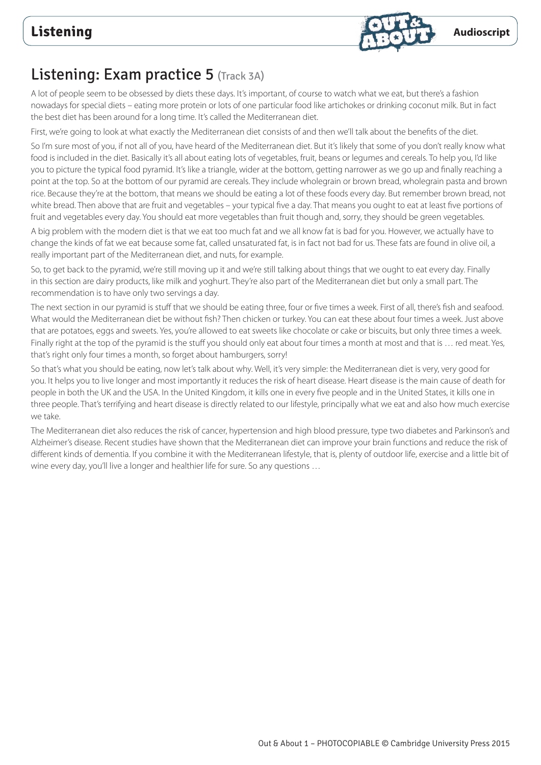

# Listening: Exam practice 5 (Track 3A)

A lot of people seem to be obsessed by diets these days. It's important, of course to watch what we eat, but there's a fashion nowadays for special diets – eating more protein or lots of one particular food like artichokes or drinking coconut milk. But in fact the best diet has been around for a long time. It's called the Mediterranean diet.

First, we're going to look at what exactly the Mediterranean diet consists of and then we'll talk about the benefits of the diet.

So I'm sure most of you, if not all of you, have heard of the Mediterranean diet. But it's likely that some of you don't really know what food is included in the diet. Basically it's all about eating lots of vegetables, fruit, beans or legumes and cereals. To help you, I'd like you to picture the typical food pyramid. It's like a triangle, wider at the bottom, getting narrower as we go up and finally reaching a point at the top. So at the bottom of our pyramid are cereals. They include wholegrain or brown bread, wholegrain pasta and brown rice. Because they're at the bottom, that means we should be eating a lot of these foods every day. But remember brown bread, not white bread. Then above that are fruit and vegetables – your typical five a day. That means you ought to eat at least five portions of fruit and vegetables every day. You should eat more vegetables than fruit though and, sorry, they should be green vegetables.

A big problem with the modern diet is that we eat too much fat and we all know fat is bad for you. However, we actually have to change the kinds of fat we eat because some fat, called unsaturated fat, is in fact not bad for us. These fats are found in olive oil, a really important part of the Mediterranean diet, and nuts, for example.

So, to get back to the pyramid, we're still moving up it and we're still talking about things that we ought to eat every day. Finally in this section are dairy products, like milk and yoghurt. They're also part of the Mediterranean diet but only a small part. The recommendation is to have only two servings a day.

The next section in our pyramid is stuff that we should be eating three, four or five times a week. First of all, there's fish and seafood. What would the Mediterranean diet be without fish? Then chicken or turkey. You can eat these about four times a week. Just above that are potatoes, eggs and sweets. Yes, you're allowed to eat sweets like chocolate or cake or biscuits, but only three times a week. Finally right at the top of the pyramid is the stuff you should only eat about four times a month at most and that is ... red meat. Yes, that's right only four times a month, so forget about hamburgers, sorry!

So that's what you should be eating, now let's talk about why. Well, it's very simple: the Mediterranean diet is very, very good for you. It helps you to live longer and most importantly it reduces the risk of heart disease. Heart disease is the main cause of death for people in both the UK and the USA. In the United Kingdom, it kills one in every five people and in the United States, it kills one in three people. That's terrifying and heart disease is directly related to our lifestyle, principally what we eat and also how much exercise we take.

The Mediterranean diet also reduces the risk of cancer, hypertension and high blood pressure, type two diabetes and Parkinson's and Alzheimer's disease. Recent studies have shown that the Mediterranean diet can improve your brain functions and reduce the risk of different kinds of dementia. If you combine it with the Mediterranean lifestyle, that is, plenty of outdoor life, exercise and a little bit of wine every day, you'll live a longer and healthier life for sure. So any questions …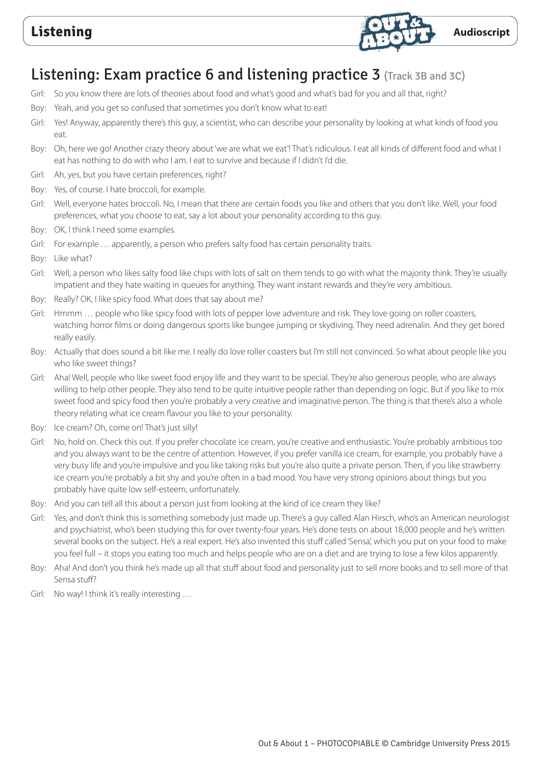

## Listening: Exam practice 6 and listening practice 3 (Track 3B and 3C)

- Girl: So you know there are lots of theories about food and what's good and what's bad for you and all that, right?
- Boy: Yeah, and you get so confused that sometimes you don't know what to eat!
- Girl: Yes! Anyway, apparently there's this guy, a scientist, who can describe your personality by looking at what kinds of food you eat.
- Boy: Oh, here we go! Another crazy theory about 'we are what we eat'! That's ridiculous. I eat all kinds of different food and what I eat has nothing to do with who I am. I eat to survive and because if I didn't I'd die.
- Girl: Ah, yes, but you have certain preferences, right?
- Boy: Yes, of course. I hate broccoli, for example.
- Girl: Well, everyone hates broccoli. No, I mean that there are certain foods you like and others that you don't like. Well, your food preferences, what you choose to eat, say a lot about your personality according to this guy.
- Boy: OK, I think I need some examples.
- Girl: For example … apparently, a person who prefers salty food has certain personality traits.
- Boy: Like what?
- Girl: Well, a person who likes salty food like chips with lots of salt on them tends to go with what the majority think. They're usually impatient and they hate waiting in queues for anything. They want instant rewards and they're very ambitious.
- Boy: Really? OK, I like spicy food. What does that say about me?
- Girl: Hmmm … people who like spicy food with lots of pepper love adventure and risk. They love going on roller coasters, watching horror films or doing dangerous sports like bungee jumping or skydiving. They need adrenalin. And they get bored really easily.
- Boy: Actually that does sound a bit like me. I really do love roller coasters but I'm still not convinced. So what about people like you who like sweet things?
- Girl: Aha! Well, people who like sweet food enjoy life and they want to be special. They're also generous people, who are always willing to help other people. They also tend to be quite intuitive people rather than depending on logic. But if you like to mix sweet food and spicy food then you're probably a very creative and imaginative person. The thing is that there's also a whole theory relating what ice cream flavour you like to your personality.
- Boy: Ice cream? Oh, come on! That's just silly!
- Girl: No, hold on. Check this out. If you prefer chocolate ice cream, you're creative and enthusiastic. You're probably ambitious too and you always want to be the centre of attention. However, if you prefer vanilla ice cream, for example, you probably have a very busy life and you're impulsive and you like taking risks but you're also quite a private person. Then, if you like strawberry ice cream you're probably a bit shy and you're often in a bad mood. You have very strong opinions about things but you probably have quite low self-esteem, unfortunately.
- Boy: And you can tell all this about a person just from looking at the kind of ice cream they like?
- Girl: Yes, and don't think this is something somebody just made up. There's a guy called Alan Hirsch, who's an American neurologist and psychiatrist, who's been studying this for over twenty-four years. He's done tests on about 18,000 people and he's written several books on the subject. He's a real expert. He's also invented this stuff called 'Sensa', which you put on your food to make you feel full – it stops you eating too much and helps people who are on a diet and are trying to lose a few kilos apparently.
- Boy: Aha! And don't you think he's made up all that stuff about food and personality just to sell more books and to sell more of that Sensa stuff?
- Girl: No way! I think it's really interesting …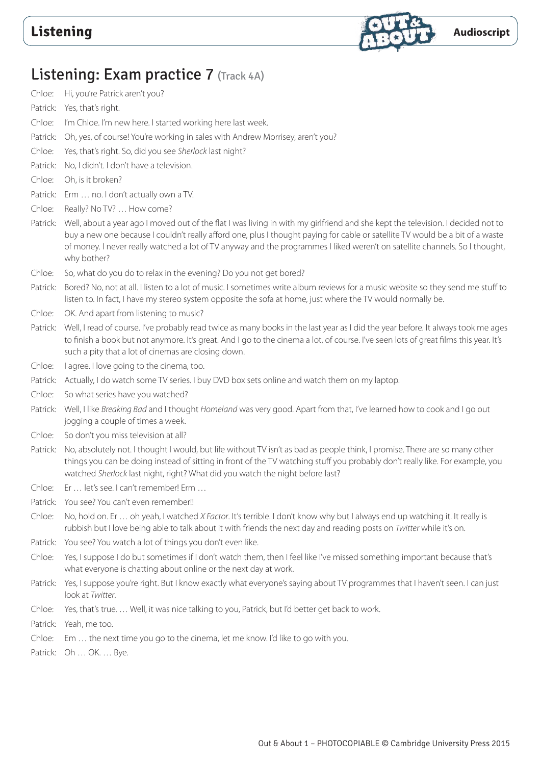

# Listening: Exam practice 7 (Track 4A)

- Chloe: Hi, you're Patrick aren't you?
- Patrick: Yes, that's right.
- Chloe: I'm Chloe. I'm new here. I started working here last week.
- Patrick: Oh, yes, of course! You're working in sales with Andrew Morrisey, aren't you?
- Chloe: Yes, that's right. So, did you see *Sherlock* last night?
- Patrick: No, I didn't. I don't have a television.
- Chloe: Oh, is it broken?
- Patrick: Erm … no. I don't actually own a TV.
- Chloe: Really? No TV? … How come?
- Patrick: Well, about a year ago I moved out of the flat I was living in with my girlfriend and she kept the television. I decided not to buy a new one because I couldn't really afford one, plus I thought paying for cable or satellite TV would be a bit of a waste of money. I never really watched a lot of TV anyway and the programmes I liked weren't on satellite channels. So I thought, why bother?
- Chloe: So, what do you do to relax in the evening? Do you not get bored?
- Patrick: Bored? No, not at all. I listen to a lot of music. I sometimes write album reviews for a music website so they send me stuff to listen to. In fact, I have my stereo system opposite the sofa at home, just where the TV would normally be.
- Chloe: OK. And apart from listening to music?
- Patrick: Well, I read of course. I've probably read twice as many books in the last year as I did the year before. It always took me ages to finish a book but not anymore. It's great. And I go to the cinema a lot, of course. I've seen lots of great films this year. It's such a pity that a lot of cinemas are closing down.
- Chloe: I agree. I love going to the cinema, too.
- Patrick: Actually, I do watch some TV series. I buy DVD box sets online and watch them on my laptop.
- Chloe: So what series have you watched?
- Patrick: Well, I like *Breaking Bad* and I thought *Homeland* was very good. Apart from that, I've learned how to cook and I go out jogging a couple of times a week.
- Chloe: So don't you miss television at all?
- Patrick: No, absolutely not. I thought I would, but life without TV isn't as bad as people think, I promise. There are so many other things you can be doing instead of sitting in front of the TV watching stuff you probably don't really like. For example, you watched *Sherlock* last night, right? What did you watch the night before last?
- Chloe: Er … let's see. I can't remember! Erm …
- Patrick: You see? You can't even remember!!
- Chloe: No, hold on. Er … oh yeah, I watched *X Factor*. It's terrible. I don't know why but I always end up watching it. It really is rubbish but I love being able to talk about it with friends the next day and reading posts on *Twitter* while it's on.
- Patrick: You see? You watch a lot of things you don't even like.
- Chloe: Yes, I suppose I do but sometimes if I don't watch them, then I feel like I've missed something important because that's what everyone is chatting about online or the next day at work.
- Patrick: Yes, I suppose you're right. But I know exactly what everyone's saying about TV programmes that I haven't seen. I can just look at *Twitter*.
- Chloe: Yes, that's true. … Well, it was nice talking to you, Patrick, but I'd better get back to work.
- Patrick: Yeah, me too.
- Chloe: Em … the next time you go to the cinema, let me know. I'd like to go with you.
- Patrick: Oh … OK. … Bye.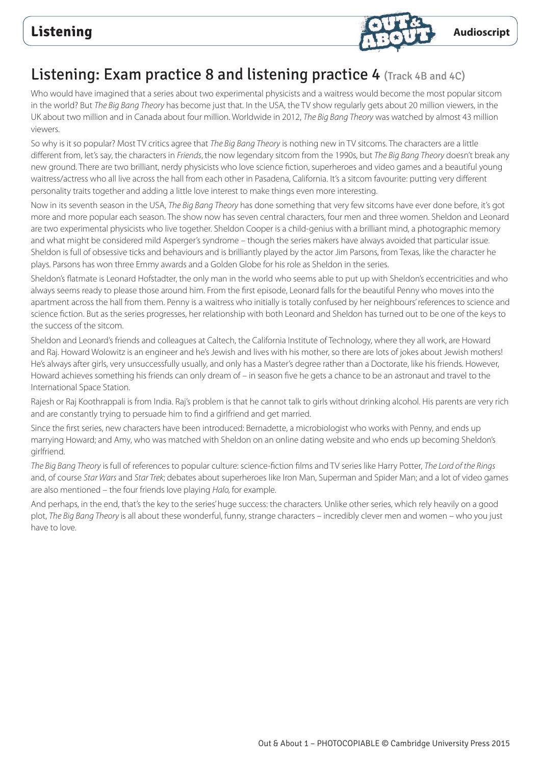

## Listening: Exam practice 8 and listening practice 4 (Track 4B and 4C)

Who would have imagined that a series about two experimental physicists and a waitress would become the most popular sitcom in the world? But *The Big Bang Theory* has become just that. In the USA, the TV show regularly gets about 20 million viewers, in the UK about two million and in Canada about four million. Worldwide in 2012, *The Big Bang Theory* was watched by almost 43 million viewers.

So why is it so popular? Most TV critics agree that *The Big Bang Theory* is nothing new in TV sitcoms. The characters are a little different from, let's say, the characters in *Friends*, the now legendary sitcom from the 1990s, but *The Big Bang Theory* doesn't break any new ground. There are two brilliant, nerdy physicists who love science fiction, superheroes and video games and a beautiful young waitress/actress who all live across the hall from each other in Pasadena, California. It's a sitcom favourite: putting very different personality traits together and adding a little love interest to make things even more interesting.

Now in its seventh season in the USA, *The Big Bang Theory* has done something that very few sitcoms have ever done before, it's got more and more popular each season. The show now has seven central characters, four men and three women. Sheldon and Leonard are two experimental physicists who live together. Sheldon Cooper is a child-genius with a brilliant mind, a photographic memory and what might be considered mild Asperger's syndrome – though the series makers have always avoided that particular issue. Sheldon is full of obsessive ticks and behaviours and is brilliantly played by the actor Jim Parsons, from Texas, like the character he plays. Parsons has won three Emmy awards and a Golden Globe for his role as Sheldon in the series.

Sheldon's flatmate is Leonard Hofstadter, the only man in the world who seems able to put up with Sheldon's eccentricities and who always seems ready to please those around him. From the first episode, Leonard falls for the beautiful Penny who moves into the apartment across the hall from them. Penny is a waitress who initially is totally confused by her neighbours' references to science and science fiction. But as the series progresses, her relationship with both Leonard and Sheldon has turned out to be one of the keys to the success of the sitcom.

Sheldon and Leonard's friends and colleagues at Caltech, the California Institute of Technology, where they all work, are Howard and Raj. Howard Wolowitz is an engineer and he's Jewish and lives with his mother, so there are lots of jokes about Jewish mothers! He's always after girls, very unsuccessfully usually, and only has a Master's degree rather than a Doctorate, like his friends. However, Howard achieves something his friends can only dream of – in season five he gets a chance to be an astronaut and travel to the International Space Station.

Rajesh or Raj Koothrappali is from India. Raj's problem is that he cannot talk to girls without drinking alcohol. His parents are very rich and are constantly trying to persuade him to find a girlfriend and get married.

Since the first series, new characters have been introduced: Bernadette, a microbiologist who works with Penny, and ends up marrying Howard; and Amy, who was matched with Sheldon on an online dating website and who ends up becoming Sheldon's girlfriend.

*The Big Bang Theory* is full of references to popular culture: science-fiction films and TV series like Harry Potter, *The Lord of the Rings* and, of course *Star Wars* and *Star Trek*; debates about superheroes like Iron Man, Superman and Spider Man; and a lot of video games are also mentioned – the four friends love playing *Halo,* for example.

And perhaps, in the end, that's the key to the series' huge success: the characters. Unlike other series, which rely heavily on a good plot, *The Big Bang Theory* is all about these wonderful, funny, strange characters – incredibly clever men and women – who you just have to love.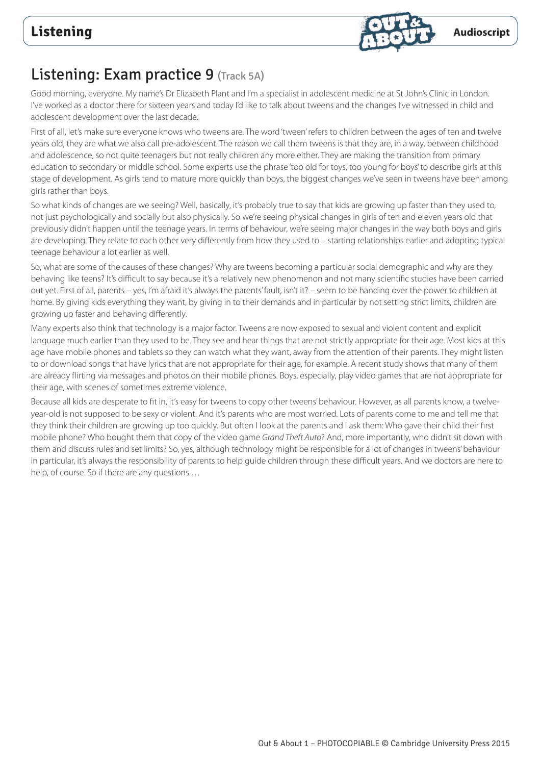

## Listening: Exam practice 9 (Track 5A)

Good morning, everyone. My name's Dr Elizabeth Plant and I'm a specialist in adolescent medicine at St John's Clinic in London. I've worked as a doctor there for sixteen years and today I'd like to talk about tweens and the changes I've witnessed in child and adolescent development over the last decade.

First of all, let's make sure everyone knows who tweens are. The word 'tween' refers to children between the ages of ten and twelve years old, they are what we also call pre-adolescent. The reason we call them tweens is that they are, in a way, between childhood and adolescence, so not quite teenagers but not really children any more either. They are making the transition from primary education to secondary or middle school. Some experts use the phrase 'too old for toys, too young for boys' to describe girls at this stage of development. As girls tend to mature more quickly than boys, the biggest changes we've seen in tweens have been among girls rather than boys.

So what kinds of changes are we seeing? Well, basically, it's probably true to say that kids are growing up faster than they used to, not just psychologically and socially but also physically. So we're seeing physical changes in girls of ten and eleven years old that previously didn't happen until the teenage years. In terms of behaviour, we're seeing major changes in the way both boys and girls are developing. They relate to each other very differently from how they used to – starting relationships earlier and adopting typical teenage behaviour a lot earlier as well.

So, what are some of the causes of these changes? Why are tweens becoming a particular social demographic and why are they behaving like teens? It's difficult to say because it's a relatively new phenomenon and not many scientific studies have been carried out yet. First of all, parents – yes, I'm afraid it's always the parents' fault, isn't it? – seem to be handing over the power to children at home. By giving kids everything they want, by giving in to their demands and in particular by not setting strict limits, children are growing up faster and behaving differently.

Many experts also think that technology is a major factor. Tweens are now exposed to sexual and violent content and explicit language much earlier than they used to be. They see and hear things that are not strictly appropriate for their age. Most kids at this age have mobile phones and tablets so they can watch what they want, away from the attention of their parents. They might listen to or download songs that have lyrics that are not appropriate for their age, for example. A recent study shows that many of them are already flirting via messages and photos on their mobile phones. Boys, especially, play video games that are not appropriate for their age, with scenes of sometimes extreme violence.

Because all kids are desperate to fit in, it's easy for tweens to copy other tweens' behaviour. However, as all parents know, a twelveyear-old is not supposed to be sexy or violent. And it's parents who are most worried. Lots of parents come to me and tell me that they think their children are growing up too quickly. But often I look at the parents and I ask them: Who gave their child their first mobile phone? Who bought them that copy of the video game *Grand Theft Auto*? And, more importantly, who didn't sit down with them and discuss rules and set limits? So, yes, although technology might be responsible for a lot of changes in tweens' behaviour in particular, it's always the responsibility of parents to help guide children through these difficult years. And we doctors are here to help, of course. So if there are any questions …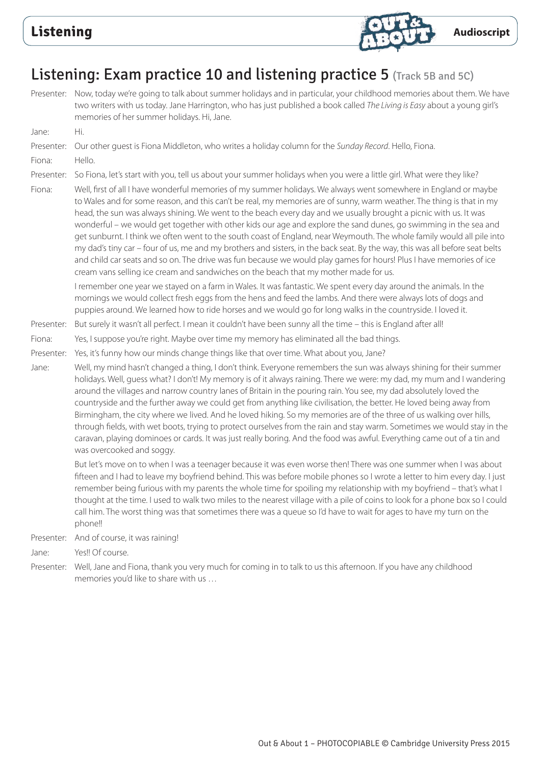

## Listening: Exam practice 10 and listening practice 5 (Track 5B and 5C)

Presenter: Now, today we're going to talk about summer holidays and in particular, your childhood memories about them. We have two writers with us today. Jane Harrington, who has just published a book called *The Living is Easy* about a young girl's memories of her summer holidays. Hi, Jane.

Jane: Hi.

# Presenter: Our other guest is Fiona Middleton, who writes a holiday column for the *Sunday Record*. Hello, Fiona.

Fiona: Hello.

Presenter: So Fiona, let's start with you, tell us about your summer holidays when you were a little girl. What were they like?

Fiona: Well, first of all I have wonderful memories of my summer holidays. We always went somewhere in England or maybe to Wales and for some reason, and this can't be real, my memories are of sunny, warm weather. The thing is that in my head, the sun was always shining. We went to the beach every day and we usually brought a picnic with us. It was wonderful – we would get together with other kids our age and explore the sand dunes, go swimming in the sea and get sunburnt. I think we often went to the south coast of England, near Weymouth. The whole family would all pile into my dad's tiny car – four of us, me and my brothers and sisters, in the back seat. By the way, this was all before seat belts and child car seats and so on. The drive was fun because we would play games for hours! Plus I have memories of ice cream vans selling ice cream and sandwiches on the beach that my mother made for us.

 I remember one year we stayed on a farm in Wales. It was fantastic. We spent every day around the animals. In the mornings we would collect fresh eggs from the hens and feed the lambs. And there were always lots of dogs and puppies around. We learned how to ride horses and we would go for long walks in the countryside. I loved it.

Presenter: But surely it wasn't all perfect. I mean it couldn't have been sunny all the time – this is England after all!

- Fiona: Yes, I suppose you're right. Maybe over time my memory has eliminated all the bad things.
- Presenter: Yes, it's funny how our minds change things like that over time. What about you, Jane?
- Jane: Well, my mind hasn't changed a thing, I don't think. Everyone remembers the sun was always shining for their summer holidays. Well, guess what? I don't! My memory is of it always raining. There we were: my dad, my mum and I wandering around the villages and narrow country lanes of Britain in the pouring rain. You see, my dad absolutely loved the countryside and the further away we could get from anything like civilisation, the better. He loved being away from Birmingham, the city where we lived. And he loved hiking. So my memories are of the three of us walking over hills, through fields, with wet boots, trying to protect ourselves from the rain and stay warm. Sometimes we would stay in the caravan, playing dominoes or cards. It was just really boring. And the food was awful. Everything came out of a tin and was overcooked and soggy.

 But let's move on to when I was a teenager because it was even worse then! There was one summer when I was about fifteen and I had to leave my boyfriend behind. This was before mobile phones so I wrote a letter to him every day. I just remember being furious with my parents the whole time for spoiling my relationship with my boyfriend – that's what I thought at the time. I used to walk two miles to the nearest village with a pile of coins to look for a phone box so I could call him. The worst thing was that sometimes there was a queue so I'd have to wait for ages to have my turn on the phone!!

Presenter: And of course, it was raining!

Jane: Yes!! Of course.

Presenter: Well, Jane and Fiona, thank you very much for coming in to talk to us this afternoon. If you have any childhood memories you'd like to share with us …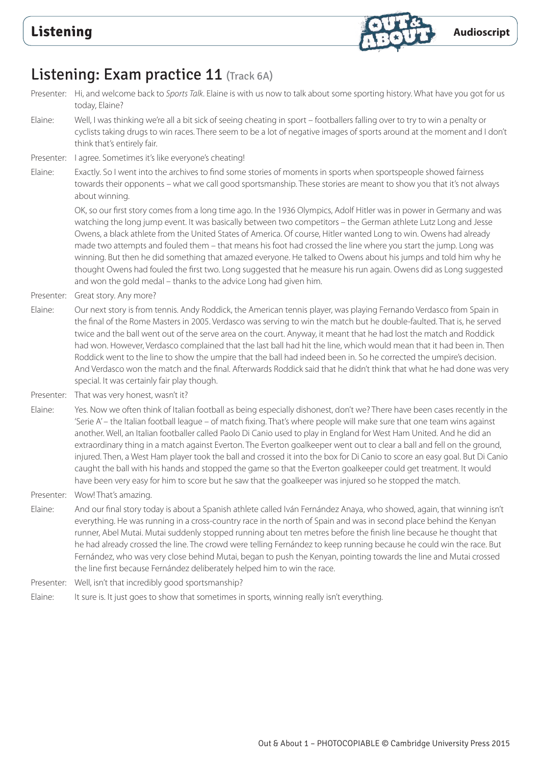

## Listening: Exam practice 11 (Track 6A)

- Presenter: Hi, and welcome back to *Sports Talk*. Elaine is with us now to talk about some sporting history. What have you got for us today, Elaine?
- Elaine: Well, I was thinking we're all a bit sick of seeing cheating in sport footballers falling over to try to win a penalty or cyclists taking drugs to win races. There seem to be a lot of negative images of sports around at the moment and I don't think that's entirely fair.
- Presenter: I agree. Sometimes it's like everyone's cheating!
- Elaine: Exactly. So I went into the archives to find some stories of moments in sports when sportspeople showed fairness towards their opponents – what we call good sportsmanship. These stories are meant to show you that it's not always about winning.

 OK, so our first story comes from a long time ago. In the 1936 Olympics, Adolf Hitler was in power in Germany and was watching the long jump event. It was basically between two competitors – the German athlete Lutz Long and Jesse Owens, a black athlete from the United States of America. Of course, Hitler wanted Long to win. Owens had already made two attempts and fouled them – that means his foot had crossed the line where you start the jump. Long was winning. But then he did something that amazed everyone. He talked to Owens about his jumps and told him why he thought Owens had fouled the first two. Long suggested that he measure his run again. Owens did as Long suggested and won the gold medal – thanks to the advice Long had given him.

- Presenter: Great story. Any more?
- Elaine: Our next story is from tennis. Andy Roddick, the American tennis player, was playing Fernando Verdasco from Spain in the final of the Rome Masters in 2005. Verdasco was serving to win the match but he double-faulted. That is, he served twice and the ball went out of the serve area on the court. Anyway, it meant that he had lost the match and Roddick had won. However, Verdasco complained that the last ball had hit the line, which would mean that it had been in. Then Roddick went to the line to show the umpire that the ball had indeed been in. So he corrected the umpire's decision. And Verdasco won the match and the final. Afterwards Roddick said that he didn't think that what he had done was very special. It was certainly fair play though.
- Presenter: That was very honest, wasn't it?

Elaine: Yes. Now we often think of Italian football as being especially dishonest, don't we? There have been cases recently in the 'Serie A' – the Italian football league – of match fixing. That's where people will make sure that one team wins against another. Well, an Italian footballer called Paolo Di Canio used to play in England for West Ham United. And he did an extraordinary thing in a match against Everton. The Everton goalkeeper went out to clear a ball and fell on the ground, injured. Then, a West Ham player took the ball and crossed it into the box for Di Canio to score an easy goal. But Di Canio caught the ball with his hands and stopped the game so that the Everton goalkeeper could get treatment. It would have been very easy for him to score but he saw that the goalkeeper was injured so he stopped the match.

- Presenter: Wow! That's amazing.
- Elaine: And our final story today is about a Spanish athlete called Iván Fernández Anaya, who showed, again, that winning isn't everything. He was running in a cross-country race in the north of Spain and was in second place behind the Kenyan runner, Abel Mutai. Mutai suddenly stopped running about ten metres before the finish line because he thought that he had already crossed the line. The crowd were telling Fernández to keep running because he could win the race. But Fernández, who was very close behind Mutai, began to push the Kenyan, pointing towards the line and Mutai crossed the line first because Fernández deliberately helped him to win the race.
- Presenter: Well, isn't that incredibly good sportsmanship?
- Elaine: It sure is. It just goes to show that sometimes in sports, winning really isn't everything.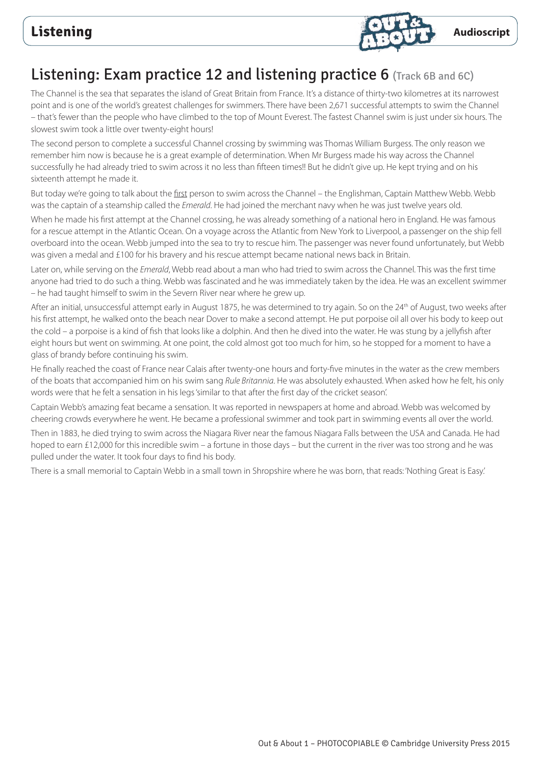

## Listening: Exam practice 12 and listening practice 6 (Track 6B and 6C)

The Channel is the sea that separates the island of Great Britain from France. It's a distance of thirty-two kilometres at its narrowest point and is one of the world's greatest challenges for swimmers. There have been 2,671 successful attempts to swim the Channel – that's fewer than the people who have climbed to the top of Mount Everest. The fastest Channel swim is just under six hours. The slowest swim took a little over twenty-eight hours!

The second person to complete a successful Channel crossing by swimming was Thomas William Burgess. The only reason we remember him now is because he is a great example of determination. When Mr Burgess made his way across the Channel successfully he had already tried to swim across it no less than fifteen times!! But he didn't give up. He kept trying and on his sixteenth attempt he made it.

But today we're going to talk about the first person to swim across the Channel – the Englishman, Captain Matthew Webb. Webb was the captain of a steamship called the *Emerald*. He had joined the merchant navy when he was just twelve years old.

When he made his first attempt at the Channel crossing, he was already something of a national hero in England. He was famous for a rescue attempt in the Atlantic Ocean. On a voyage across the Atlantic from New York to Liverpool, a passenger on the ship fell overboard into the ocean. Webb jumped into the sea to try to rescue him. The passenger was never found unfortunately, but Webb was given a medal and £100 for his bravery and his rescue attempt became national news back in Britain.

Later on, while serving on the *Emerald*, Webb read about a man who had tried to swim across the Channel. This was the first time anyone had tried to do such a thing. Webb was fascinated and he was immediately taken by the idea. He was an excellent swimmer – he had taught himself to swim in the Severn River near where he grew up.

After an initial, unsuccessful attempt early in August 1875, he was determined to try again. So on the 24<sup>th</sup> of August, two weeks after his first attempt, he walked onto the beach near Dover to make a second attempt. He put porpoise oil all over his body to keep out the cold – a porpoise is a kind of fish that looks like a dolphin. And then he dived into the water. He was stung by a jellyfish after eight hours but went on swimming. At one point, the cold almost got too much for him, so he stopped for a moment to have a glass of brandy before continuing his swim.

He finally reached the coast of France near Calais after twenty-one hours and forty-five minutes in the water as the crew members of the boats that accompanied him on his swim sang *Rule Britannia*. He was absolutely exhausted. When asked how he felt, his only words were that he felt a sensation in his legs 'similar to that after the first day of the cricket season'.

Captain Webb's amazing feat became a sensation. It was reported in newspapers at home and abroad. Webb was welcomed by cheering crowds everywhere he went. He became a professional swimmer and took part in swimming events all over the world.

Then in 1883, he died trying to swim across the Niagara River near the famous Niagara Falls between the USA and Canada. He had hoped to earn £12,000 for this incredible swim – a fortune in those days – but the current in the river was too strong and he was pulled under the water. It took four days to find his body.

There is a small memorial to Captain Webb in a small town in Shropshire where he was born, that reads: 'Nothing Great is Easy.'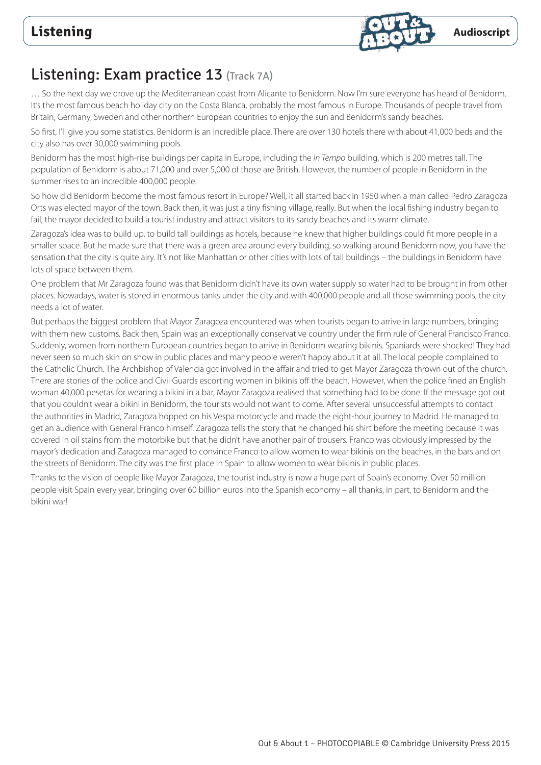

## Listening: Exam practice 13 (Track 7A)

… So the next day we drove up the Mediterranean coast from Alicante to Benidorm. Now I'm sure everyone has heard of Benidorm. It's the most famous beach holiday city on the Costa Blanca, probably the most famous in Europe. Thousands of people travel from Britain, Germany, Sweden and other northern European countries to enjoy the sun and Benidorm's sandy beaches.

So first, I'll give you some statistics. Benidorm is an incredible place. There are over 130 hotels there with about 41,000 beds and the city also has over 30,000 swimming pools.

Benidorm has the most high-rise buildings per capita in Europe, including the *In Tempo* building, which is 200 metres tall. The population of Benidorm is about 71,000 and over 5,000 of those are British. However, the number of people in Benidorm in the summer rises to an incredible 400,000 people.

So how did Benidorm become the most famous resort in Europe? Well, it all started back in 1950 when a man called Pedro Zaragoza Orts was elected mayor of the town. Back then, it was just a tiny fishing village, really. But when the local fishing industry began to fail, the mayor decided to build a tourist industry and attract visitors to its sandy beaches and its warm climate.

Zaragoza's idea was to build up, to build tall buildings as hotels, because he knew that higher buildings could fit more people in a smaller space. But he made sure that there was a green area around every building, so walking around Benidorm now, you have the sensation that the city is quite airy. It's not like Manhattan or other cities with lots of tall buildings – the buildings in Benidorm have lots of space between them.

One problem that Mr Zaragoza found was that Benidorm didn't have its own water supply so water had to be brought in from other places. Nowadays, water is stored in enormous tanks under the city and with 400,000 people and all those swimming pools, the city needs a lot of water.

But perhaps the biggest problem that Mayor Zaragoza encountered was when tourists began to arrive in large numbers, bringing with them new customs. Back then, Spain was an exceptionally conservative country under the firm rule of General Francisco Franco. Suddenly, women from northern European countries began to arrive in Benidorm wearing bikinis. Spaniards were shocked! They had never seen so much skin on show in public places and many people weren't happy about it at all. The local people complained to the Catholic Church. The Archbishop of Valencia got involved in the affair and tried to get Mayor Zaragoza thrown out of the church. There are stories of the police and Civil Guards escorting women in bikinis off the beach. However, when the police fined an English woman 40,000 pesetas for wearing a bikini in a bar, Mayor Zaragoza realised that something had to be done. If the message got out that you couldn't wear a bikini in Benidorm, the tourists would not want to come. After several unsuccessful attempts to contact the authorities in Madrid, Zaragoza hopped on his Vespa motorcycle and made the eight-hour journey to Madrid. He managed to get an audience with General Franco himself. Zaragoza tells the story that he changed his shirt before the meeting because it was covered in oil stains from the motorbike but that he didn't have another pair of trousers. Franco was obviously impressed by the mayor's dedication and Zaragoza managed to convince Franco to allow women to wear bikinis on the beaches, in the bars and on the streets of Benidorm. The city was the first place in Spain to allow women to wear bikinis in public places.

Thanks to the vision of people like Mayor Zaragoza, the tourist industry is now a huge part of Spain's economy. Over 50 million people visit Spain every year, bringing over 60 billion euros into the Spanish economy – all thanks, in part, to Benidorm and the bikini war!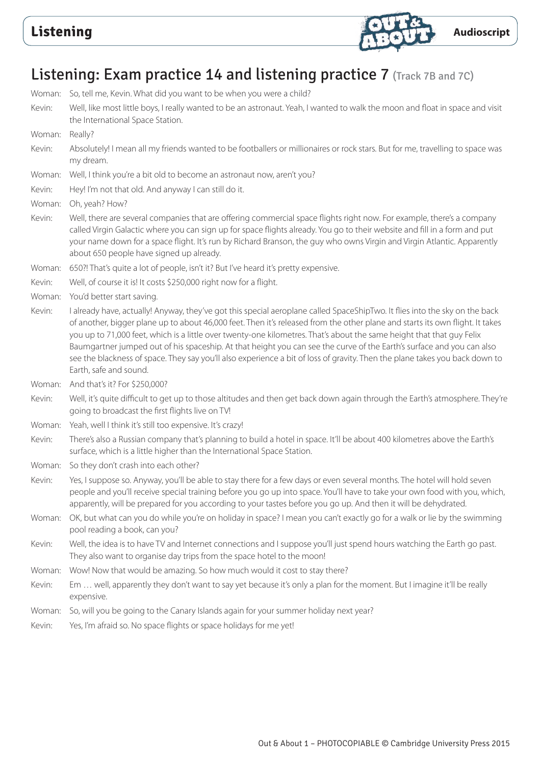

# Listening: Exam practice 14 and listening practice 7 (Track 7B and 7C)

Woman: So, tell me, Kevin. What did you want to be when you were a child? Kevin: Well, like most little boys, I really wanted to be an astronaut. Yeah, I wanted to walk the moon and float in space and visit the International Space Station. Woman: Really? Kevin: Absolutely! I mean all my friends wanted to be footballers or millionaires or rock stars. But for me, travelling to space was my dream. Woman: Well, I think you're a bit old to become an astronaut now, aren't you? Kevin: Hey! I'm not that old. And anyway I can still do it. Woman: Oh, yeah? How? Kevin: Well, there are several companies that are offering commercial space flights right now. For example, there's a company called Virgin Galactic where you can sign up for space flights already. You go to their website and fill in a form and put your name down for a space flight. It's run by Richard Branson, the guy who owns Virgin and Virgin Atlantic. Apparently about 650 people have signed up already. Woman: 650?! That's quite a lot of people, isn't it? But I've heard it's pretty expensive. Kevin: Well, of course it is! It costs \$250,000 right now for a flight. Woman: You'd better start saving. Kevin: I already have, actually! Anyway, they've got this special aeroplane called SpaceShipTwo. It flies into the sky on the back of another, bigger plane up to about 46,000 feet. Then it's released from the other plane and starts its own flight. It takes you up to 71,000 feet, which is a little over twenty-one kilometres. That's about the same height that that guy Felix Baumgartner jumped out of his spaceship. At that height you can see the curve of the Earth's surface and you can also see the blackness of space. They say you'll also experience a bit of loss of gravity. Then the plane takes you back down to Earth, safe and sound. Woman: And that's it? For \$250,000? Kevin: Well, it's quite difficult to get up to those altitudes and then get back down again through the Earth's atmosphere. They're going to broadcast the first flights live on TV! Woman: Yeah, well I think it's still too expensive. It's crazy! Kevin: There's also a Russian company that's planning to build a hotel in space. It'll be about 400 kilometres above the Earth's surface, which is a little higher than the International Space Station. Woman: So they don't crash into each other? Kevin: Yes, I suppose so. Anyway, you'll be able to stay there for a few days or even several months. The hotel will hold seven people and you'll receive special training before you go up into space. You'll have to take your own food with you, which, apparently, will be prepared for you according to your tastes before you go up. And then it will be dehydrated. Woman: OK, but what can you do while you're on holiday in space? I mean you can't exactly go for a walk or lie by the swimming pool reading a book, can you? Kevin: Well, the idea is to have TV and Internet connections and I suppose you'll just spend hours watching the Earth go past. They also want to organise day trips from the space hotel to the moon! Woman: Wow! Now that would be amazing. So how much would it cost to stay there? Kevin: Em … well, apparently they don't want to say yet because it's only a plan for the moment. But I imagine it'll be really expensive. Woman: So, will you be going to the Canary Islands again for your summer holiday next year? Kevin: Yes, I'm afraid so. No space flights or space holidays for me yet!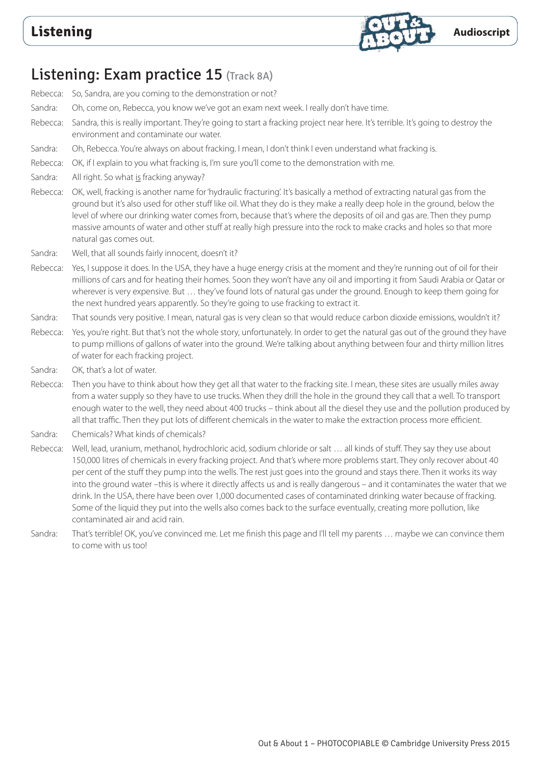

### Listening: Exam practice 15 (Track 8A)

Rebecca: So, Sandra, are you coming to the demonstration or not? Sandra: Oh, come on, Rebecca, you know we've got an exam next week. I really don't have time. Rebecca: Sandra, this is really important. They're going to start a fracking project near here. It's terrible. It's going to destroy the environment and contaminate our water. Sandra: Oh, Rebecca. You're always on about fracking. I mean, I don't think I even understand what fracking is. Rebecca: OK, if I explain to you what fracking is, I'm sure you'll come to the demonstration with me. Sandra: All right. So what is fracking anyway? Rebecca: OK, well, fracking is another name for 'hydraulic fracturing'. It's basically a method of extracting natural gas from the ground but it's also used for other stuff like oil. What they do is they make a really deep hole in the ground, below the level of where our drinking water comes from, because that's where the deposits of oil and gas are. Then they pump massive amounts of water and other stuff at really high pressure into the rock to make cracks and holes so that more natural gas comes out. Sandra: Well, that all sounds fairly innocent, doesn't it? Rebecca: Yes, I suppose it does. In the USA, they have a huge energy crisis at the moment and they're running out of oil for their millions of cars and for heating their homes. Soon they won't have any oil and importing it from Saudi Arabia or Qatar or wherever is very expensive. But … they've found lots of natural gas under the ground. Enough to keep them going for the next hundred years apparently. So they're going to use fracking to extract it. Sandra: That sounds very positive. I mean, natural gas is very clean so that would reduce carbon dioxide emissions, wouldn't it? Rebecca: Yes, you're right. But that's not the whole story, unfortunately. In order to get the natural gas out of the ground they have to pump millions of gallons of water into the ground. We're talking about anything between four and thirty million litres of water for each fracking project. Sandra: OK, that's a lot of water. Rebecca: Then you have to think about how they get all that water to the fracking site. I mean, these sites are usually miles away from a water supply so they have to use trucks. When they drill the hole in the ground they call that a well. To transport enough water to the well, they need about 400 trucks – think about all the diesel they use and the pollution produced by all that traffic. Then they put lots of different chemicals in the water to make the extraction process more efficient. Sandra: Chemicals? What kinds of chemicals? Rebecca: Well, lead, uranium, methanol, hydrochloric acid, sodium chloride or salt … all kinds of stuff. They say they use about 150,000 litres of chemicals in every fracking project. And that's where more problems start. They only recover about 40 per cent of the stuff they pump into the wells. The rest just goes into the ground and stays there. Then it works its way into the ground water –this is where it directly affects us and is really dangerous – and it contaminates the water that we drink. In the USA, there have been over 1,000 documented cases of contaminated drinking water because of fracking. Some of the liquid they put into the wells also comes back to the surface eventually, creating more pollution, like

- contaminated air and acid rain.
- Sandra: That's terrible! OK, you've convinced me. Let me finish this page and I'll tell my parents … maybe we can convince them to come with us too!